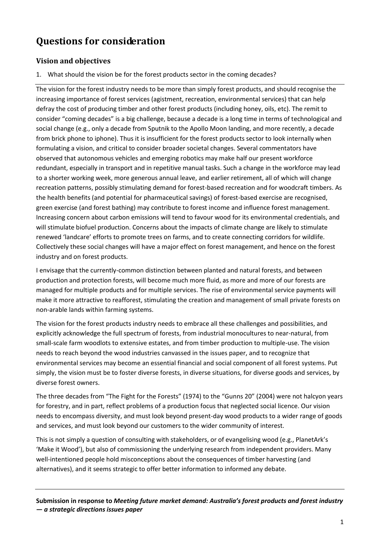# **Questions for consideration**

## **Vision and objectives**

1. What should the vision be for the forest products sector in the coming decades?

The vision for the forest industry needs to be more than simply forest products, and should recognise the increasing importance of forest services (agistment, recreation, environmental services) that can help defray the cost of producing timber and other forest products (including honey, oils, etc). The remit to consider "coming decades" is a big challenge, because a decade is a long time in terms of technological and social change (e.g., only a decade from Sputnik to the Apollo Moon landing, and more recently, a decade from brick phone to iphone). Thus it is insufficient for the forest products sector to look internally when formulating a vision, and critical to consider broader societal changes. Several commentators have observed that autonomous vehicles and emerging robotics may make half our present workforce redundant, especially in transport and in repetitive manual tasks. Such a change in the workforce may lead to a shorter working week, more generous annual leave, and earlier retirement, all of which will change recreation patterns, possibly stimulating demand for forest-based recreation and for woodcraft timbers. As the health benefits (and potential for pharmaceutical savings) of forest-based exercise are recognised, green exercise (and forest bathing) may contribute to forest income and influence forest management. Increasing concern about carbon emissions will tend to favour wood for its environmental credentials, and will stimulate biofuel production. Concerns about the impacts of climate change are likely to stimulate renewed 'landcare' efforts to promote trees on farms, and to create connecting corridors for wildlife. Collectively these social changes will have a major effect on forest management, and hence on the forest industry and on forest products.

I envisage that the currently-common distinction between planted and natural forests, and between production and protection forests, will become much more fluid, as more and more of our forests are managed for multiple products and for multiple services. The rise of environmental service payments will make it more attractive to reafforest, stimulating the creation and management of small private forests on non-arable lands within farming systems.

The vision for the forest products industry needs to embrace all these challenges and possibilities, and explicitly acknowledge the full spectrum of forests, from industrial monocultures to near-natural, from small-scale farm woodlots to extensive estates, and from timber production to multiple-use. The vision needs to reach beyond the wood industries canvassed in the issues paper, and to recognize that environmental services may become an essential financial and social component of all forest systems. Put simply, the vision must be to foster diverse forests, in diverse situations, for diverse goods and services, by diverse forest owners.

The three decades from "The Fight for the Forests" (1974) to the "Gunns 20" (2004) were not halcyon years for forestry, and in part, reflect problems of a production focus that neglected social licence. Our vision needs to encompass diversity, and must look beyond present-day wood products to a wider range of goods and services, and must look beyond our customers to the wider community of interest.

This is not simply a question of consulting with stakeholders, or of evangelising wood (e.g., PlanetArk's 'Make it Wood'), but also of commissioning the underlying research from independent providers. Many well-intentioned people hold misconceptions about the consequences of timber harvesting (and alternatives), and it seems strategic to offer better information to informed any debate.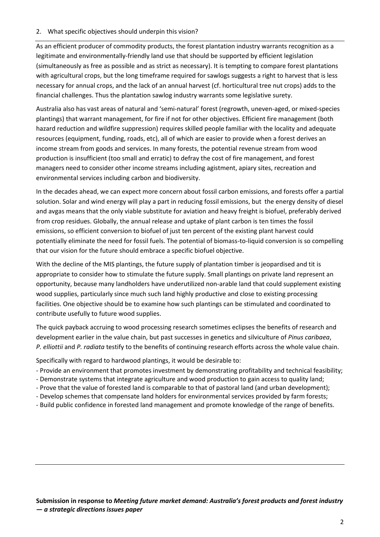2. What specific objectives should underpin this vision?

As an efficient producer of commodity products, the forest plantation industry warrants recognition as a legitimate and environmentally-friendly land use that should be supported by efficient legislation (simultaneously as free as possible and as strict as necessary). It is tempting to compare forest plantations with agricultural crops, but the long timeframe required for sawlogs suggests a right to harvest that is less necessary for annual crops, and the lack of an annual harvest (cf. horticultural tree nut crops) adds to the financial challenges. Thus the plantation sawlog industry warrants some legislative surety.

Australia also has vast areas of natural and 'semi-natural' forest (regrowth, uneven-aged, or mixed-species plantings) that warrant management, for fire if not for other objectives. Efficient fire management (both hazard reduction and wildfire suppression) requires skilled people familiar with the locality and adequate resources (equipment, funding, roads, etc), all of which are easier to provide when a forest derives an income stream from goods and services. In many forests, the potential revenue stream from wood production is insufficient (too small and erratic) to defray the cost of fire management, and forest managers need to consider other income streams including agistment, apiary sites, recreation and environmental services including carbon and biodiversity.

In the decades ahead, we can expect more concern about fossil carbon emissions, and forests offer a partial solution. Solar and wind energy will play a part in reducing fossil emissions, but the energy density of diesel and avgas means that the only viable substitute for aviation and heavy freight is biofuel, preferably derived from crop residues. Globally, the annual release and uptake of plant carbon is ten times the fossil emissions, so efficient conversion to biofuel of just ten percent of the existing plant harvest could potentially eliminate the need for fossil fuels. The potential of biomass-to-liquid conversion is so compelling that our vision for the future should embrace a specific biofuel objective.

With the decline of the MIS plantings, the future supply of plantation timber is jeopardised and tit is appropriate to consider how to stimulate the future supply. Small plantings on private land represent an opportunity, because many landholders have underutilized non-arable land that could supplement existing wood supplies, particularly since much such land highly productive and close to existing processing facilities. One objective should be to examine how such plantings can be stimulated and coordinated to contribute usefully to future wood supplies.

The quick payback accruing to wood processing research sometimes eclipses the benefits of research and development earlier in the value chain, but past successes in genetics and silviculture of *Pinus caribaea*, *P. elliottii* and *P. radiata* testify to the benefits of continuing research efforts across the whole value chain.

Specifically with regard to hardwood plantings, it would be desirable to:

- Provide an environment that promotes investment by demonstrating profitability and technical feasibility;
- Demonstrate systems that integrate agriculture and wood production to gain access to quality land;
- Prove that the value of forested land is comparable to that of pastoral land (and urban development);
- Develop schemes that compensate land holders for environmental services provided by farm forests;
- Build public confidence in forested land management and promote knowledge of the range of benefits.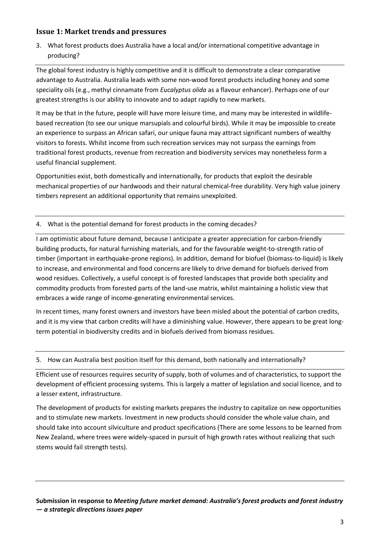#### **Issue 1: Market trends and pressures**

3. What forest products does Australia have a local and/or international competitive advantage in producing?

The global forest industry is highly competitive and it is difficult to demonstrate a clear comparative advantage to Australia. Australia leads with some non-wood forest products including honey and some speciality oils (e.g., methyl cinnamate from *Eucalyptus olida* as a flavour enhancer). Perhaps one of our greatest strengths is our ability to innovate and to adapt rapidly to new markets.

It may be that in the future, people will have more leisure time, and many may be interested in wildlifebased recreation (to see our unique marsupials and colourful birds). While it may be impossible to create an experience to surpass an African safari, our unique fauna may attract significant numbers of wealthy visitors to forests. Whilst income from such recreation services may not surpass the earnings from traditional forest products, revenue from recreation and biodiversity services may nonetheless form a useful financial supplement.

Opportunities exist, both domestically and internationally, for products that exploit the desirable mechanical properties of our hardwoods and their natural chemical-free durability. Very high value joinery timbers represent an additional opportunity that remains unexploited.

#### 4. What is the potential demand for forest products in the coming decades?

I am optimistic about future demand, because I anticipate a greater appreciation for carbon-friendly building products, for natural furnishing materials, and for the favourable weight-to-strength ratio of timber (important in earthquake-prone regions). In addition, demand for biofuel (biomass-to-liquid) is likely to increase, and environmental and food concerns are likely to drive demand for biofuels derived from wood residues. Collectively, a useful concept is of forested landscapes that provide both speciality and commodity products from forested parts of the land-use matrix, whilst maintaining a holistic view that embraces a wide range of income-generating environmental services.

In recent times, many forest owners and investors have been misled about the potential of carbon credits, and it is my view that carbon credits will have a diminishing value. However, there appears to be great longterm potential in biodiversity credits and in biofuels derived from biomass residues.

#### 5. How can Australia best position itself for this demand, both nationally and internationally?

Efficient use of resources requires security of supply, both of volumes and of characteristics, to support the development of efficient processing systems. This is largely a matter of legislation and social licence, and to a lesser extent, infrastructure.

The development of products for existing markets prepares the industry to capitalize on new opportunities and to stimulate new markets. Investment in new products should consider the whole value chain, and should take into account silviculture and product specifications (There are some lessons to be learned from New Zealand, where trees were widely-spaced in pursuit of high growth rates without realizing that such stems would fail strength tests).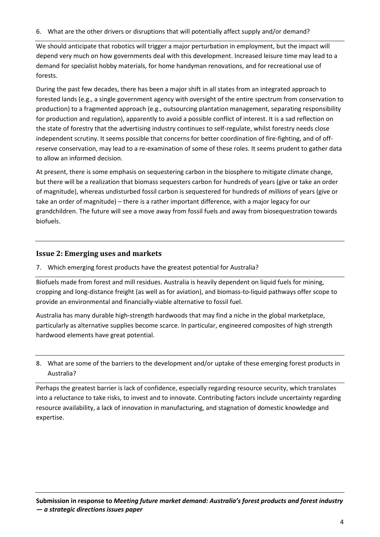6. What are the other drivers or disruptions that will potentially affect supply and/or demand?

We should anticipate that robotics will trigger a major perturbation in employment, but the impact will depend very much on how governments deal with this development. Increased leisure time may lead to a demand for specialist hobby materials, for home handyman renovations, and for recreational use of forests.

During the past few decades, there has been a major shift in all states from an integrated approach to forested lands (e.g., a single government agency with oversight of the entire spectrum from conservation to production) to a fragmented approach (e.g., outsourcing plantation management, separating responsibility for production and regulation), apparently to avoid a possible conflict of interest. It is a sad reflection on the state of forestry that the advertising industry continues to self-regulate, whilst forestry needs close independent scrutiny. It seems possible that concerns for better coordination of fire-fighting, and of offreserve conservation, may lead to a re-examination of some of these roles. It seems prudent to gather data to allow an informed decision.

At present, there is some emphasis on sequestering carbon in the biosphere to mitigate climate change, but there will be a realization that biomass sequesters carbon for hundreds of years (give or take an order of magnitude), whereas undisturbed fossil carbon is sequestered for hundreds of *millions* of years (give or take an order of magnitude) – there is a rather important difference, with a major legacy for our grandchildren. The future will see a move away from fossil fuels and away from biosequestration towards biofuels.

## **Issue 2: Emerging uses and markets**

7. Which emerging forest products have the greatest potential for Australia?

Biofuels made from forest and mill residues. Australia is heavily dependent on liquid fuels for mining, cropping and long-distance freight (as well as for aviation), and biomass-to-liquid pathways offer scope to provide an environmental and financially-viable alternative to fossil fuel.

Australia has many durable high-strength hardwoods that may find a niche in the global marketplace, particularly as alternative supplies become scarce. In particular, engineered composites of high strength hardwood elements have great potential.

8. What are some of the barriers to the development and/or uptake of these emerging forest products in Australia?

Perhaps the greatest barrier is lack of confidence, especially regarding resource security, which translates into a reluctance to take risks, to invest and to innovate. Contributing factors include uncertainty regarding resource availability, a lack of innovation in manufacturing, and stagnation of domestic knowledge and expertise.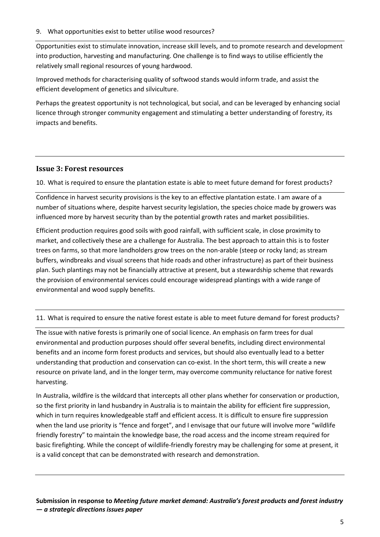9. What opportunities exist to better utilise wood resources?

Opportunities exist to stimulate innovation, increase skill levels, and to promote research and development into production, harvesting and manufacturing. One challenge is to find ways to utilise efficiently the relatively small regional resources of young hardwood.

Improved methods for characterising quality of softwood stands would inform trade, and assist the efficient development of genetics and silviculture.

Perhaps the greatest opportunity is not technological, but social, and can be leveraged by enhancing social licence through stronger community engagement and stimulating a better understanding of forestry, its impacts and benefits.

#### **Issue 3: Forest resources**

10. What is required to ensure the plantation estate is able to meet future demand for forest products?

Confidence in harvest security provisions is the key to an effective plantation estate. I am aware of a number of situations where, despite harvest security legislation, the species choice made by growers was influenced more by harvest security than by the potential growth rates and market possibilities.

Efficient production requires good soils with good rainfall, with sufficient scale, in close proximity to market, and collectively these are a challenge for Australia. The best approach to attain this is to foster trees on farms, so that more landholders grow trees on the non-arable (steep or rocky land; as stream buffers, windbreaks and visual screens that hide roads and other infrastructure) as part of their business plan. Such plantings may not be financially attractive at present, but a stewardship scheme that rewards the provision of environmental services could encourage widespread plantings with a wide range of environmental and wood supply benefits.

11. What is required to ensure the native forest estate is able to meet future demand for forest products?

The issue with native forests is primarily one of social licence. An emphasis on farm trees for dual environmental and production purposes should offer several benefits, including direct environmental benefits and an income form forest products and services, but should also eventually lead to a better understanding that production and conservation can co-exist. In the short term, this will create a new resource on private land, and in the longer term, may overcome community reluctance for native forest harvesting.

In Australia, wildfire is the wildcard that intercepts all other plans whether for conservation or production, so the first priority in land husbandry in Australia is to maintain the ability for efficient fire suppression, which in turn requires knowledgeable staff and efficient access. It is difficult to ensure fire suppression when the land use priority is "fence and forget", and I envisage that our future will involve more "wildlife friendly forestry" to maintain the knowledge base, the road access and the income stream required for basic firefighting. While the concept of wildlife-friendly forestry may be challenging for some at present, it is a valid concept that can be demonstrated with research and demonstration.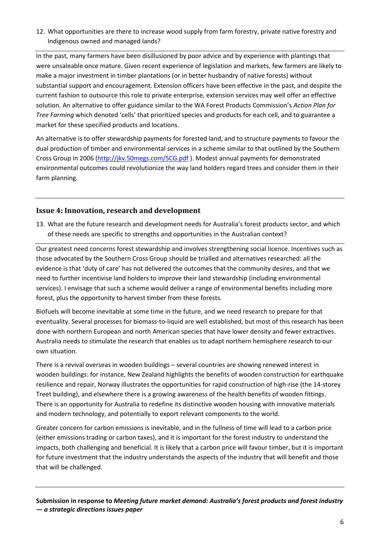12. What opportunities are there to increase wood supply from farm forestry, private native forestry and Indigenous owned and managed lands?

In the past, many farmers have been disillusioned by poor advice and by experience with plantings that were unsaleable once mature. Given recent experience of legislation and markets, few farmers are likely to make a major investment in timber plantations (or in better husbandry of native forests) without substantial support and encouragement. Extension officers have been effective in the past, and despite the current fashion to outsource this role to private enterprise, extension services may well offer an effective solution. An alternative to offer guidance similar to the WA Forest Products Commission's *Action Plan for Tree Farming* which denoted 'cells' that prioritized species and products for each cell, and to guarantee a market for these specified products and locations.

An alternative is to offer stewardship payments for forested land, and to structure payments to favour the dual production of timber and environmental services in a scheme similar to that outlined by the Southern Cross Group in 2006 [\(http://jkv.50megs.com/SCG.pdf](http://jkv.50megs.com/SCG.pdf) ). Modest annual payments for demonstrated environmental outcomes could revolutionize the way land holders regard trees and consider them in their farm planning.

## **Issue 4: Innovation, research and development**

13. What are the future research and development needs for Australia's forest products sector, and which of these needs are specific to strengths and opportunities in the Australian context?

Our greatest need concerns forest stewardship and involves strengthening social licence. Incentives such as those advocated by the Southern Cross Group should be trialled and alternatives researched: all the evidence is that 'duty of care' has not delivered the outcomes that the community desires, and that we need to further incentivise land holders to improve their land stewardship (including environmental services). I envisage that such a scheme would deliver a range of environmental benefits including more forest, plus the opportunity to harvest timber from these forests.

Biofuels will become inevitable at some time in the future, and we need research to prepare for that eventuality. Several processes for biomass-to-liquid are well established, but most of this research has been done with northern European and north American species that have lower density and fewer extractives. Australia needs to stimulate the research that enables us to adapt northern hemisphere research to our own situation.

There is a revival overseas in wooden buildings – several countries are showing renewed interest in wooden buildings: for instance, New Zealand highlights the benefits of wooden construction for earthquake resilience and repair, Norway illustrates the opportunities for rapid construction of high-rise (the 14-storey Treet building), and elsewhere there is a growing awareness of the health benefits of wooden fittings. There is an opportunity for Australia to redefine its distinctive wooden housing with innovative materials and modern technology, and potentially to export relevant components to the world.

Greater concern for carbon emissions is inevitable, and in the fullness of time will lead to a carbon price (either emissions trading or carbon taxes), and it is important for the forest industry to understand the impacts, both challenging and beneficial. It is likely that a carbon price will favour timber, but it is important for future investment that the industry understands the aspects of the industry that will benefit and those that will be challenged.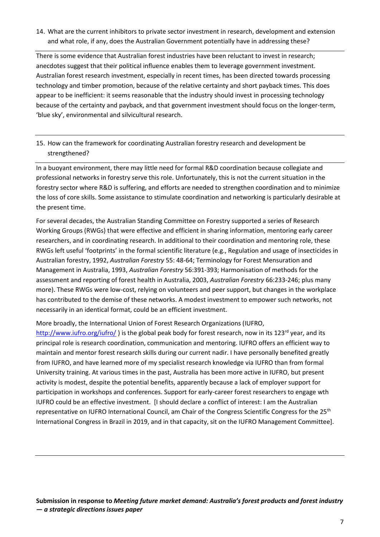14. What are the current inhibitors to private sector investment in research, development and extension and what role, if any, does the Australian Government potentially have in addressing these?

There is some evidence that Australian forest industries have been reluctant to invest in research; anecdotes suggest that their political influence enables them to leverage government investment. Australian forest research investment, especially in recent times, has been directed towards processing technology and timber promotion, because of the relative certainty and short payback times. This does appear to be inefficient: it seems reasonable that the industry should invest in processing technology because of the certainty and payback, and that government investment should focus on the longer-term, 'blue sky', environmental and silvicultural research.

#### 15. How can the framework for coordinating Australian forestry research and development be strengthened?

In a buoyant environment, there may little need for formal R&D coordination because collegiate and professional networks in forestry serve this role. Unfortunately, this is not the current situation in the forestry sector where R&D is suffering, and efforts are needed to strengthen coordination and to minimize the loss of core skills. Some assistance to stimulate coordination and networking is particularly desirable at the present time.

For several decades, the Australian Standing Committee on Forestry supported a series of Research Working Groups (RWGs) that were effective and efficient in sharing information, mentoring early career researchers, and in coordinating research. In additional to their coordination and mentoring role, these RWGs left useful 'footprints' in the formal scientific literature (e.g., Regulation and usage of insecticides in Australian forestry, 1992, *Australian Forestry* 55: 48-64; Terminology for Forest Mensuration and Management in Australia, 1993, *Australian Forestry* 56:391-393; Harmonisation of methods for the assessment and reporting of forest health in Australia, 2003, *Australian Forestry* 66:233-246; plus many more). These RWGs were low-cost, relying on volunteers and peer support, but changes in the workplace has contributed to the demise of these networks. A modest investment to empower such networks, not necessarily in an identical format, could be an efficient investment.

#### More broadly, the International Union of Forest Research Organizations (IUFRO,

<http://www.iufro.org/iufro/>) is the global peak body for forest research, now in its 123<sup>rd</sup> year, and its principal role is research coordination, communication and mentoring. IUFRO offers an efficient way to maintain and mentor forest research skills during our current nadir. I have personally benefited greatly from IUFRO, and have learned more of my specialist research knowledge via IUFRO than from formal University training. At various times in the past, Australia has been more active in IUFRO, but present activity is modest, despite the potential benefits, apparently because a lack of employer support for participation in workshops and conferences. Support for early-career forest researchers to engage wth IUFRO could be an effective investment. [I should declare a conflict of interest: I am the Australian representative on IUFRO International Council, am Chair of the Congress Scientific Congress for the 25<sup>th</sup> International Congress in Brazil in 2019, and in that capacity, sit on the IUFRO Management Committee].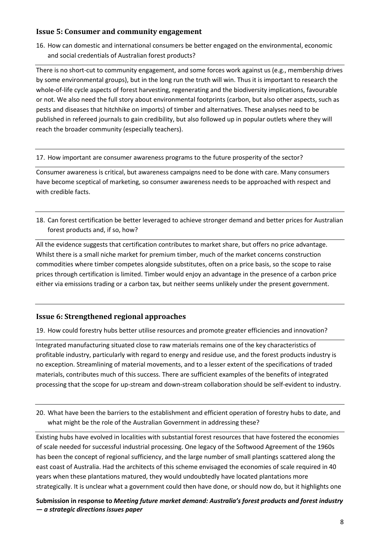#### **Issue 5: Consumer and community engagement**

16. How can domestic and international consumers be better engaged on the environmental, economic and social credentials of Australian forest products?

There is no short-cut to community engagement, and some forces work against us (e.g., membership drives by some environmental groups), but in the long run the truth will win. Thus it is important to research the whole-of-life cycle aspects of forest harvesting, regenerating and the biodiversity implications, favourable or not. We also need the full story about environmental footprints (carbon, but also other aspects, such as pests and diseases that hitchhike on imports) of timber and alternatives. These analyses need to be published in refereed journals to gain credibility, but also followed up in popular outlets where they will reach the broader community (especially teachers).

17. How important are consumer awareness programs to the future prosperity of the sector?

Consumer awareness is critical, but awareness campaigns need to be done with care. Many consumers have become sceptical of marketing, so consumer awareness needs to be approached with respect and with credible facts.

18. Can forest certification be better leveraged to achieve stronger demand and better prices for Australian forest products and, if so, how?

All the evidence suggests that certification contributes to market share, but offers no price advantage. Whilst there is a small niche market for premium timber, much of the market concerns construction commodities where timber competes alongside substitutes, often on a price basis, so the scope to raise prices through certification is limited. Timber would enjoy an advantage in the presence of a carbon price either via emissions trading or a carbon tax, but neither seems unlikely under the present government.

## **Issue 6: Strengthened regional approaches**

19. How could forestry hubs better utilise resources and promote greater efficiencies and innovation?

Integrated manufacturing situated close to raw materials remains one of the key characteristics of profitable industry, particularly with regard to energy and residue use, and the forest products industry is no exception. Streamlining of material movements, and to a lesser extent of the specifications of traded materials, contributes much of this success. There are sufficient examples of the benefits of integrated processing that the scope for up-stream and down-stream collaboration should be self-evident to industry.

20. What have been the barriers to the establishment and efficient operation of forestry hubs to date, and what might be the role of the Australian Government in addressing these?

Existing hubs have evolved in localities with substantial forest resources that have fostered the economies of scale needed for successful industrial processing. One legacy of the Softwood Agreement of the 1960s has been the concept of regional sufficiency, and the large number of small plantings scattered along the east coast of Australia. Had the architects of this scheme envisaged the economies of scale required in 40 years when these plantations matured, they would undoubtedly have located plantations more strategically. It is unclear what a government could then have done, or should now do, but it highlights one

Submission in response to *Meeting future market demand: Australia's forest products and forest industry — a strategic directions issues paper*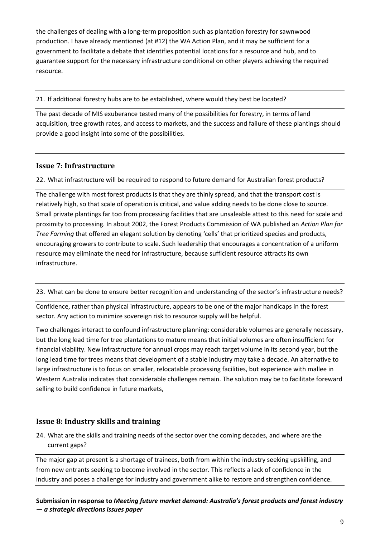the challenges of dealing with a long-term proposition such as plantation forestry for sawnwood production. I have already mentioned (at #12) the WA Action Plan, and it may be sufficient for a government to facilitate a debate that identifies potential locations for a resource and hub, and to guarantee support for the necessary infrastructure conditional on other players achieving the required resource.

21. If additional forestry hubs are to be established, where would they best be located?

The past decade of MIS exuberance tested many of the possibilities for forestry, in terms of land acquisition, tree growth rates, and access to markets, and the success and failure of these plantings should provide a good insight into some of the possibilities.

## **Issue 7: Infrastructure**

22. What infrastructure will be required to respond to future demand for Australian forest products?

The challenge with most forest products is that they are thinly spread, and that the transport cost is relatively high, so that scale of operation is critical, and value adding needs to be done close to source. Small private plantings far too from processing facilities that are unsaleable attest to this need for scale and proximity to processing. In about 2002, the Forest Products Commission of WA published an *Action Plan for Tree Farming* that offered an elegant solution by denoting 'cells' that prioritized species and products, encouraging growers to contribute to scale. Such leadership that encourages a concentration of a uniform resource may eliminate the need for infrastructure, because sufficient resource attracts its own infrastructure.

23. What can be done to ensure better recognition and understanding of the sector's infrastructure needs?

Confidence, rather than physical infrastructure, appears to be one of the major handicaps in the forest sector. Any action to minimize sovereign risk to resource supply will be helpful.

Two challenges interact to confound infrastructure planning: considerable volumes are generally necessary, but the long lead time for tree plantations to mature means that initial volumes are often insufficient for financial viability. New infrastructure for annual crops may reach target volume in its second year, but the long lead time for trees means that development of a stable industry may take a decade. An alternative to large infrastructure is to focus on smaller, relocatable processing facilities, but experience with mallee in Western Australia indicates that considerable challenges remain. The solution may be to facilitate foreward selling to build confidence in future markets,

## **Issue 8: Industry skills and training**

24. What are the skills and training needs of the sector over the coming decades, and where are the current gaps?

The major gap at present is a shortage of trainees, both from within the industry seeking upskilling, and from new entrants seeking to become involved in the sector. This reflects a lack of confidence in the industry and poses a challenge for industry and government alike to restore and strengthen confidence.